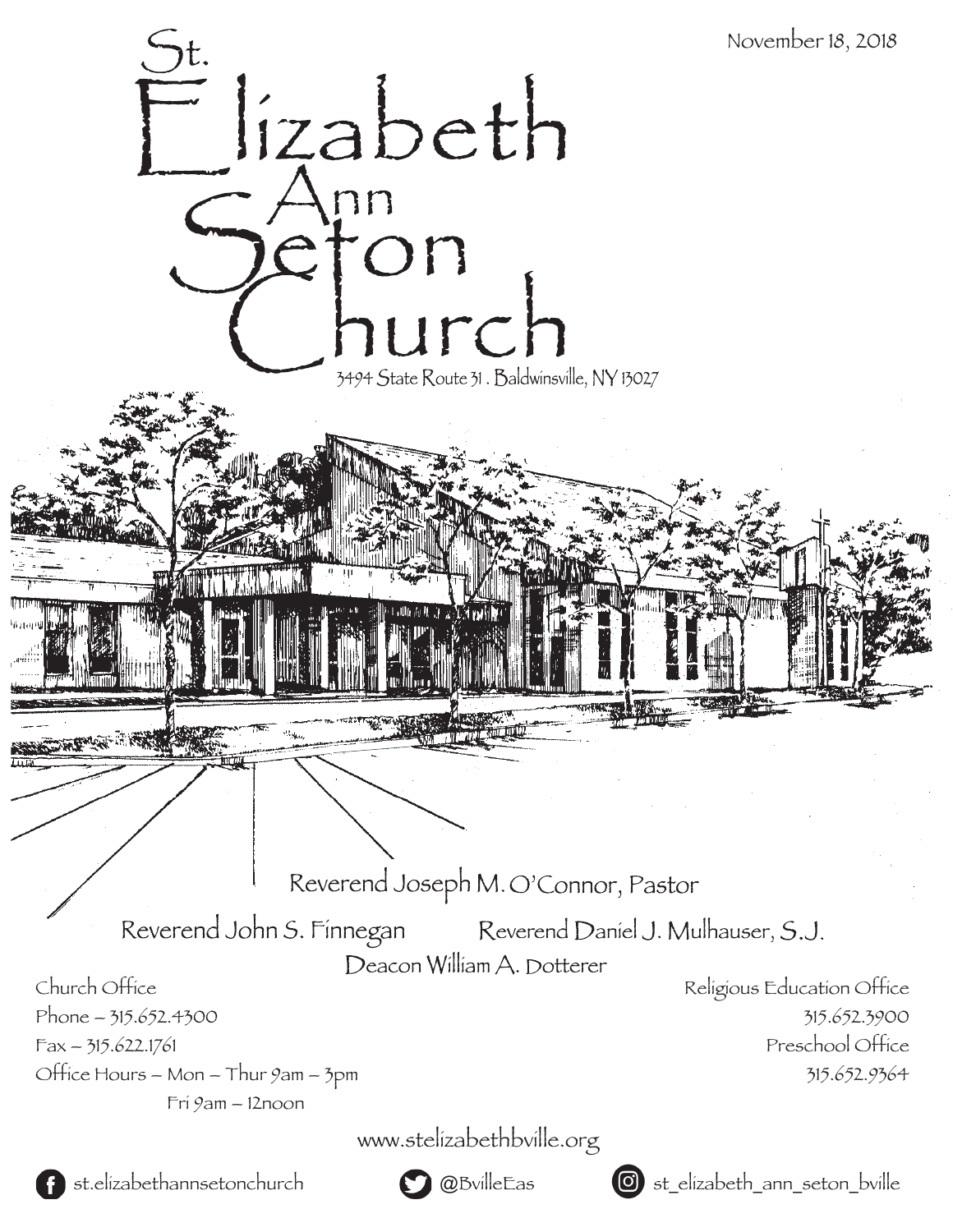

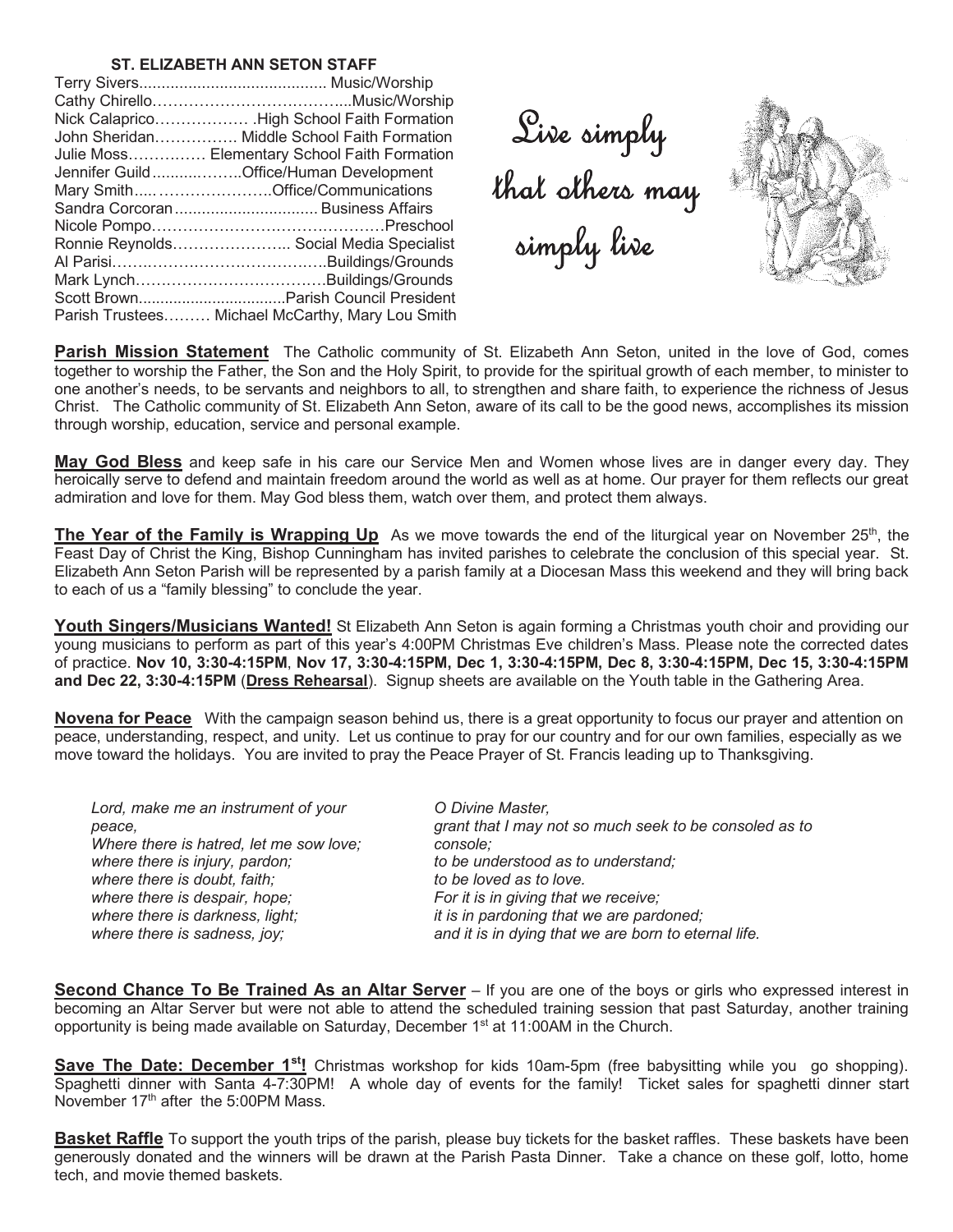#### **ST. ELIZABETH ANN SETON STAFF**

| Nick Calaprico High School Faith Formation       |
|--------------------------------------------------|
| John Sheridan Middle School Faith Formation      |
| Julie Moss Elementary School Faith Formation     |
| Jennifer GuildOffice/Human Development           |
| Mary SmithOffice/Communications                  |
|                                                  |
|                                                  |
| Ronnie Reynolds Social Media Specialist          |
|                                                  |
|                                                  |
|                                                  |
| Parish Trustees Michael McCarthy, Mary Lou Smith |

Sive simply<br>that others may<br>simply live



**Parish Mission Statement** The Catholic community of St. Elizabeth Ann Seton, united in the love of God, comes together to worship the Father, the Son and the Holy Spirit, to provide for the spiritual growth of each member, to minister to one another's needs, to be servants and neighbors to all, to strengthen and share faith, to experience the richness of Jesus Christ. The Catholic community of St. Elizabeth Ann Seton, aware of its call to be the good news, accomplishes its mission through worship, education, service and personal example.

**May God Bless** and keep safe in his care our Service Men and Women whose lives are in danger every day. They heroically serve to defend and maintain freedom around the world as well as at home. Our prayer for them reflects our great admiration and love for them. May God bless them, watch over them, and protect them always.

**The Year of the Family is Wrapping Up** As we move towards the end of the liturgical year on November 25<sup>th</sup>, the Feast Day of Christ the King, Bishop Cunningham has invited parishes to celebrate the conclusion of this special year. St. Elizabeth Ann Seton Parish will be represented by a parish family at a Diocesan Mass this weekend and they will bring back to each of us a "family blessing" to conclude the year.

**Youth Singers/Musicians Wanted!** St Elizabeth Ann Seton is again forming a Christmas youth choir and providing our young musicians to perform as part of this year's 4:00PM Christmas Eve children's Mass. Please note the corrected dates of practice. **Nov 10, 3:30-4:15PM**, **Nov 17, 3:30-4:15PM, Dec 1, 3:30-4:15PM, Dec 8, 3:30-4:15PM, Dec 15, 3:30-4:15PM and Dec 22, 3:30-4:15PM** (**Dress Rehearsal**). Signup sheets are available on the Youth table in the Gathering Area.

**Novena for Peace** With the campaign season behind us, there is a great opportunity to focus our prayer and attention on peace, understanding, respect, and unity. Let us continue to pray for our country and for our own families, especially as we move toward the holidays. You are invited to pray the Peace Prayer of St. Francis leading up to Thanksgiving.

*Lord, make me an instrument of your peace, Where there is hatred, let me sow love; where there is injury, pardon; where there is doubt, faith; where there is despair, hope; where there is darkness, light; where there is sadness, joy;*

*O Divine Master, grant that I may not so much seek to be consoled as to console; to be understood as to understand; to be loved as to love. For it is in giving that we receive; it is in pardoning that we are pardoned; and it is in dying that we are born to eternal life.*

**Second Chance To Be Trained As an Altar Server** – If you are one of the boys or girls who expressed interest in becoming an Altar Server but were not able to attend the scheduled training session that past Saturday, another training opportunity is being made available on Saturday, December  $1<sup>st</sup>$  at 11:00AM in the Church.

**Save The Date: December 1<sup>st</sup>!** Christmas workshop for kids 10am-5pm (free babysitting while you go shopping). Spaghetti dinner with Santa 4-7:30PM! A whole day of events for the family! Ticket sales for spaghetti dinner start November  $17<sup>th</sup>$  after the 5:00PM Mass.

**Basket Raffle** To support the youth trips of the parish, please buy tickets for the basket raffles. These baskets have been generously donated and the winners will be drawn at the Parish Pasta Dinner. Take a chance on these golf, lotto, home tech, and movie themed baskets.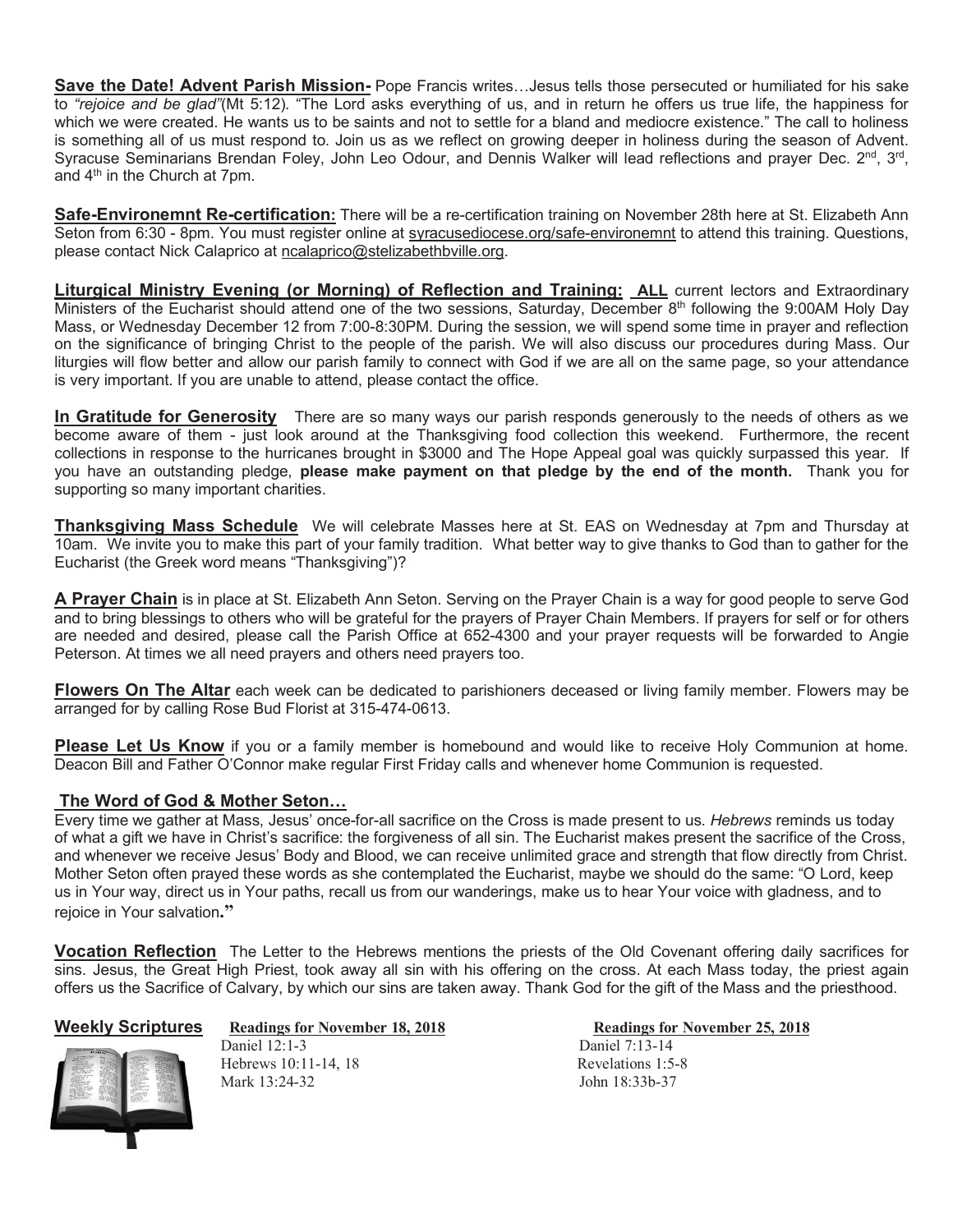**Save the Date! Advent Parish Mission-** Pope Francis writes…Jesus tells those persecuted or humiliated for his sake to *"rejoice and be glad"*(Mt 5:12). "The Lord asks everything of us, and in return he offers us true life, the happiness for which we were created. He wants us to be saints and not to settle for a bland and mediocre existence." The call to holiness is something all of us must respond to. Join us as we reflect on growing deeper in holiness during the season of Advent. Syracuse Seminarians Brendan Foley, John Leo Odour, and Dennis Walker will lead reflections and prayer Dec. 2<sup>nd</sup>, 3<sup>rd</sup>, and 4th in the Church at 7pm.

**Safe-Environemnt Re-certification:** There will be a re-certification training on November 28th here at St. Elizabeth Ann Seton from 6:30 - 8pm. You must register online at syracusediocese.org/safe-environemnt to attend this training. Questions, please contact Nick Calaprico at ncalaprico@stelizabethbville.org.

**Liturgical Ministry Evening (or Morning) of Reflection and Training: ALL** current lectors and Extraordinary Ministers of the Eucharist should attend one of the two sessions, Saturday, December 8<sup>th</sup> following the 9:00AM Holy Day Mass, or Wednesday December 12 from 7:00-8:30PM. During the session, we will spend some time in prayer and reflection on the significance of bringing Christ to the people of the parish. We will also discuss our procedures during Mass. Our liturgies will flow better and allow our parish family to connect with God if we are all on the same page, so your attendance is very important. If you are unable to attend, please contact the office.

**In Gratitude for Generosity** There are so many ways our parish responds generously to the needs of others as we become aware of them - just look around at the Thanksgiving food collection this weekend. Furthermore, the recent collections in response to the hurricanes brought in \$3000 and The Hope Appeal goal was quickly surpassed this year. If you have an outstanding pledge, **please make payment on that pledge by the end of the month.** Thank you for supporting so many important charities.

**Thanksgiving Mass Schedule** We will celebrate Masses here at St. EAS on Wednesday at 7pm and Thursday at 10am. We invite you to make this part of your family tradition. What better way to give thanks to God than to gather for the Eucharist (the Greek word means "Thanksgiving")?

**A Prayer Chain** is in place at St. Elizabeth Ann Seton. Serving on the Prayer Chain is a way for good people to serve God and to bring blessings to others who will be grateful for the prayers of Prayer Chain Members. If prayers for self or for others are needed and desired, please call the Parish Office at 652-4300 and your prayer requests will be forwarded to Angie Peterson. At times we all need prayers and others need prayers too.

**Flowers On The Altar** each week can be dedicated to parishioners deceased or living family member. Flowers may be arranged for by calling Rose Bud Florist at 315-474-0613.

**Please Let Us Know** if you or a family member is homebound and would like to receive Holy Communion at home. Deacon Bill and Father O'Connor make regular First Friday calls and whenever home Communion is requested.

# **The Word of God & Mother Seton…**

Every time we gather at Mass, Jesus' once-for-all sacrifice on the Cross is made present to us. *Hebrews* reminds us today of what a gift we have in Christ's sacrifice: the forgiveness of all sin. The Eucharist makes present the sacrifice of the Cross, and whenever we receive Jesus' Body and Blood, we can receive unlimited grace and strength that flow directly from Christ. Mother Seton often prayed these words as she contemplated the Eucharist, maybe we should do the same: "O Lord, keep us in Your way, direct us in Your paths, recall us from our wanderings, make us to hear Your voice with gladness, and to rejoice in Your salvation**."**

**Vocation Reflection** The Letter to the Hebrews mentions the priests of the Old Covenant offering daily sacrifices for sins. Jesus, the Great High Priest, took away all sin with his offering on the cross. At each Mass today, the priest again offers us the Sacrifice of Calvary, by which our sins are taken away. Thank God for the gift of the Mass and the priesthood.

# **Weekly Scriptures Readings for November 18, 2018 Readings for November 25, 2018**

Daniel 12:1-3 Daniel 7:13-14



Hebrews 10:11-14, 18 Revelations 1:5-8 Mark 13:24-32 John 18:33b-37